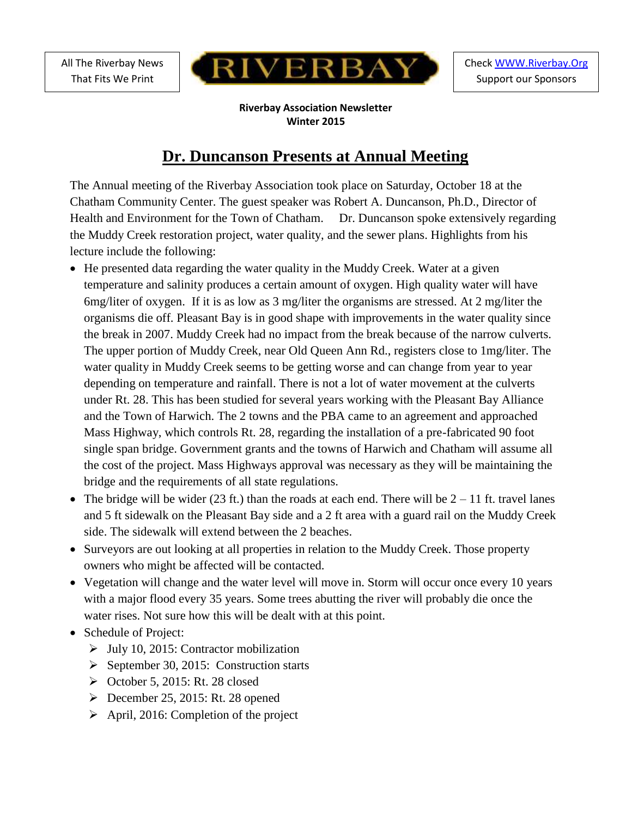All The Riverbay News That Fits We Print



**Riverbay Association Newsletter Winter 2015**

# **Dr. Duncanson Presents at Annual Meeting**

The Annual meeting of the Riverbay Association took place on Saturday, October 18 at the Chatham Community Center. The guest speaker was Robert A. Duncanson, Ph.D., Director of Health and Environment for the Town of Chatham. Dr. Duncanson spoke extensively regarding the Muddy Creek restoration project, water quality, and the sewer plans. Highlights from his lecture include the following:

- He presented data regarding the water quality in the Muddy Creek. Water at a given temperature and salinity produces a certain amount of oxygen. High quality water will have 6mg/liter of oxygen. If it is as low as 3 mg/liter the organisms are stressed. At 2 mg/liter the organisms die off. Pleasant Bay is in good shape with improvements in the water quality since the break in 2007. Muddy Creek had no impact from the break because of the narrow culverts. The upper portion of Muddy Creek, near Old Queen Ann Rd., registers close to 1mg/liter. The water quality in Muddy Creek seems to be getting worse and can change from year to year depending on temperature and rainfall. There is not a lot of water movement at the culverts under Rt. 28. This has been studied for several years working with the Pleasant Bay Alliance and the Town of Harwich. The 2 towns and the PBA came to an agreement and approached Mass Highway, which controls Rt. 28, regarding the installation of a pre-fabricated 90 foot single span bridge. Government grants and the towns of Harwich and Chatham will assume all the cost of the project. Mass Highways approval was necessary as they will be maintaining the bridge and the requirements of all state regulations.
- The bridge will be wider (23 ft.) than the roads at each end. There will be  $2 11$  ft. travel lanes and 5 ft sidewalk on the Pleasant Bay side and a 2 ft area with a guard rail on the Muddy Creek side. The sidewalk will extend between the 2 beaches.
- Surveyors are out looking at all properties in relation to the Muddy Creek. Those property owners who might be affected will be contacted.
- Vegetation will change and the water level will move in. Storm will occur once every 10 years with a major flood every 35 years. Some trees abutting the river will probably die once the water rises. Not sure how this will be dealt with at this point.
- Schedule of Project:
	- $\triangleright$  July 10, 2015: Contractor mobilization
	- $\triangleright$  September 30, 2015: Construction starts
	- $\triangleright$  October 5, 2015: Rt. 28 closed
	- $\triangleright$  December 25, 2015: Rt. 28 opened
	- $\triangleright$  April, 2016: Completion of the project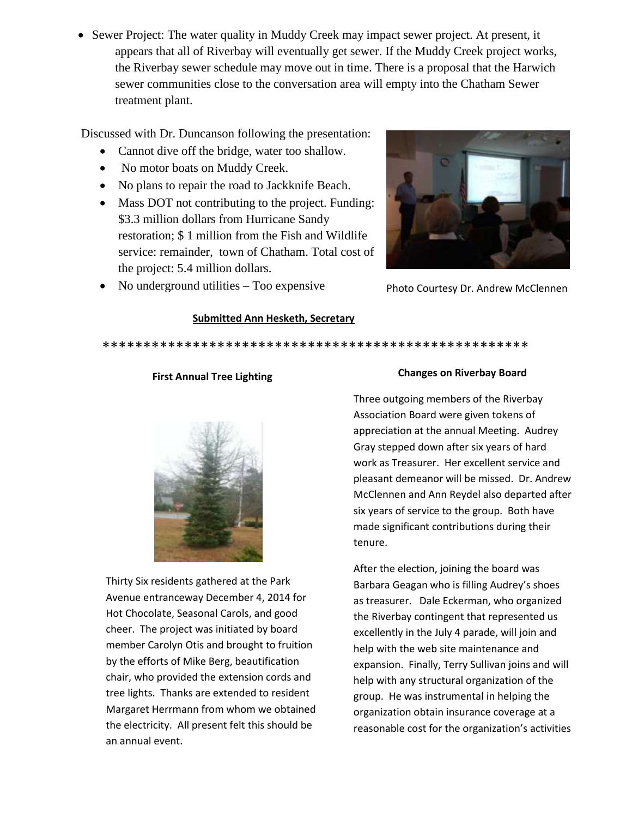• Sewer Project: The water quality in Muddy Creek may impact sewer project. At present, it appears that all of Riverbay will eventually get sewer. If the Muddy Creek project works, the Riverbay sewer schedule may move out in time. There is a proposal that the Harwich sewer communities close to the conversation area will empty into the Chatham Sewer treatment plant.

Discussed with Dr. Duncanson following the presentation:

- Cannot dive off the bridge, water too shallow.
- No motor boats on Muddy Creek.
- No plans to repair the road to Jackknife Beach.
- Mass DOT not contributing to the project. Funding: \$3.3 million dollars from Hurricane Sandy restoration; \$ 1 million from the Fish and Wildlife service: remainder, town of Chatham. Total cost of the project: 5.4 million dollars.





Photo Courtesy Dr. Andrew McClennen

## **Submitted Ann Hesketh, Secretary**

\*\*\*\*\*\*\*\*\*\*\*\*\*\*\*\*\*\*\*\*\*\*\*\*\*\*\*\*\*\*\*\*\*\*\*\*\*\*\*\*\*\*\*\*\*\*\*\*\*\*\*\*

## **First Annual Tree Lighting**



Thirty Six residents gathered at the Park Avenue entranceway December 4, 2014 for Hot Chocolate, Seasonal Carols, and good cheer. The project was initiated by board member Carolyn Otis and brought to fruition by the efforts of Mike Berg, beautification chair, who provided the extension cords and tree lights. Thanks are extended to resident Margaret Herrmann from whom we obtained the electricity. All present felt this should be an annual event.

## **Changes on Riverbay Board**

Three outgoing members of the Riverbay Association Board were given tokens of appreciation at the annual Meeting. Audrey Gray stepped down after six years of hard work as Treasurer. Her excellent service and pleasant demeanor will be missed. Dr. Andrew McClennen and Ann Reydel also departed after six years of service to the group. Both have made significant contributions during their tenure.

After the election, joining the board was Barbara Geagan who is filling Audrey's shoes as treasurer. Dale Eckerman, who organized the Riverbay contingent that represented us excellently in the July 4 parade, will join and help with the web site maintenance and expansion. Finally, Terry Sullivan joins and will help with any structural organization of the group. He was instrumental in helping the organization obtain insurance coverage at a reasonable cost for the organization's activities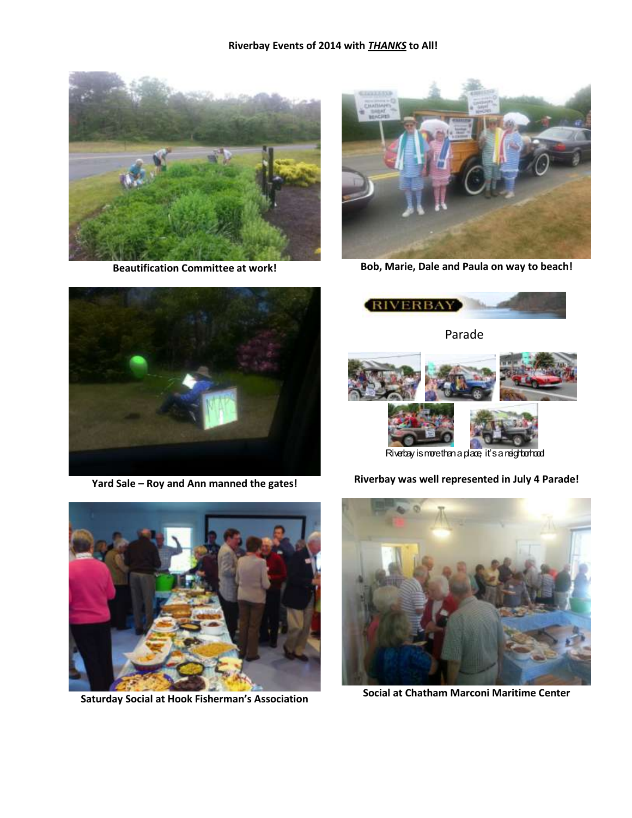

**Beautification Committee at work!**



**Bob, Marie, Dale and Paula on way to beach!**

**RIVERBAY** 



**Yard Sale – Roy and Ann manned the gates!**



Riverbay is more than a place, it's a neighborhood

**Riverbay was well represented in July 4 Parade!**



**Saturday Social at Hook Fisherman's Association**



**Social at Chatham Marconi Maritime Center**